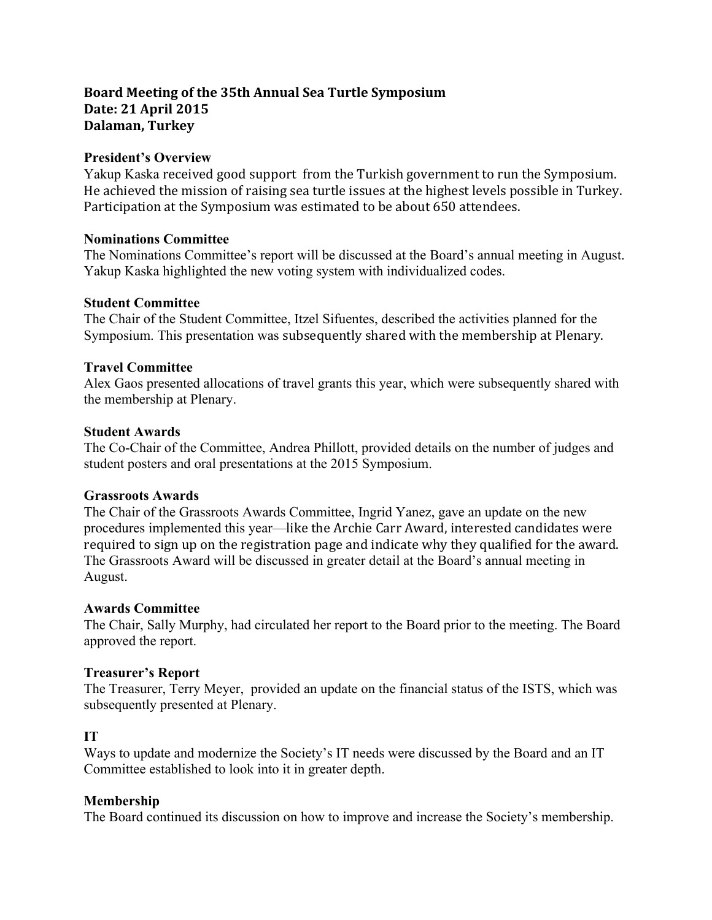# **Board Meeting of the 35th Annual Sea Turtle Symposium Date: 21 April 2015 Dalaman, Turkey**

# **President's Overview**

Yakup Kaska received good support from the Turkish government to run the Symposium. He achieved the mission of raising sea turtle issues at the highest levels possible in Turkey. Participation at the Symposium was estimated to be about 650 attendees.

# **Nominations Committee**

The Nominations Committee's report will be discussed at the Board's annual meeting in August. Yakup Kaska highlighted the new voting system with individualized codes.

### **Student Committee**

The Chair of the Student Committee, Itzel Sifuentes, described the activities planned for the Symposium. This presentation was subsequently shared with the membership at Plenary.

### **Travel Committee**

Alex Gaos presented allocations of travel grants this year, which were subsequently shared with the membership at Plenary.

### **Student Awards**

The Co-Chair of the Committee, Andrea Phillott, provided details on the number of judges and student posters and oral presentations at the 2015 Symposium.

#### **Grassroots Awards**

The Chair of the Grassroots Awards Committee, Ingrid Yanez, gave an update on the new procedures implemented this year—like the Archie Carr Award, interested candidates were required to sign up on the registration page and indicate why they qualified for the award. The Grassroots Award will be discussed in greater detail at the Board's annual meeting in August.

# **Awards Committee**

The Chair, Sally Murphy, had circulated her report to the Board prior to the meeting. The Board approved the report.

# **Treasurer's Report**

The Treasurer, Terry Meyer, provided an update on the financial status of the ISTS, which was subsequently presented at Plenary.

# **IT**

Ways to update and modernize the Society's IT needs were discussed by the Board and an IT Committee established to look into it in greater depth.

#### **Membership**

The Board continued its discussion on how to improve and increase the Society's membership.